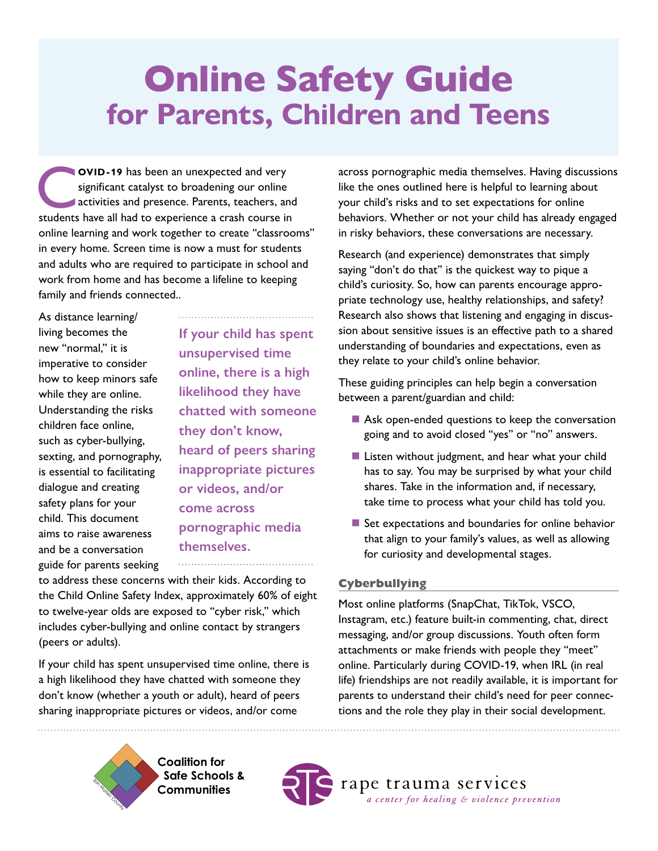# Online Safety Guide **for Parents, Children and Teens**

**COVID-19** has been an unexpected and very significant catalyst to broadening our online activities and presence. Parents, teachers, and students have all had to experience a crash course in online learning and work together to create "classrooms" in every home. Screen time is now a must for students and adults who are required to participate in school and work from home and has become a lifeline to keeping family and friends connected..

As distance learning/ living becomes the new "normal," it is imperative to consider how to keep minors safe while they are online. Understanding the risks children face online, such as cyber-bullying, sexting, and pornography, is essential to facilitating dialogue and creating safety plans for your child. This document aims to raise awareness and be a conversation guide for parents seeking

**If your child has spent unsupervised time online, there is a high likelihood they have chatted with someone they don't know, heard of peers sharing inappropriate pictures or videos, and/or come across pornographic media themselves.**

to address these concerns with their kids. According to the Child Online Safety Index, approximately 60% of eight to twelve-year olds are exposed to "cyber risk," which includes cyber-bullying and online contact by strangers (peers or adults).

If your child has spent unsupervised time online, there is a high likelihood they have chatted with someone they don't know (whether a youth or adult), heard of peers sharing inappropriate pictures or videos, and/or come

across pornographic media themselves. Having discussions like the ones outlined here is helpful to learning about your child's risks and to set expectations for online behaviors. Whether or not your child has already engaged in risky behaviors, these conversations are necessary.

Research (and experience) demonstrates that simply saying "don't do that" is the quickest way to pique a child's curiosity. So, how can parents encourage appropriate technology use, healthy relationships, and safety? Research also shows that listening and engaging in discussion about sensitive issues is an effective path to a shared understanding of boundaries and expectations, even as they relate to your child's online behavior.

These guiding principles can help begin a conversation between a parent/guardian and child:

- Ask open-ended questions to keep the conversation going and to avoid closed "yes" or "no" answers.
- **Listen without judgment, and hear what your child** has to say. You may be surprised by what your child shares. Take in the information and, if necessary, take time to process what your child has told you.
- Set expectations and boundaries for online behavior that align to your family's values, as well as allowing for curiosity and developmental stages.

## **Cyberbullying**

Most online platforms (SnapChat, TikTok, VSCO, Instagram, etc.) feature built-in commenting, chat, direct messaging, and/or group discussions. Youth often form attachments or make friends with people they "meet" online. Particularly during COVID-19, when IRL (in real life) friendships are not readily available, it is important for parents to understand their child's need for peer connections and the role they play in their social development.

 **Coalition for Safe Schools & Communities** 

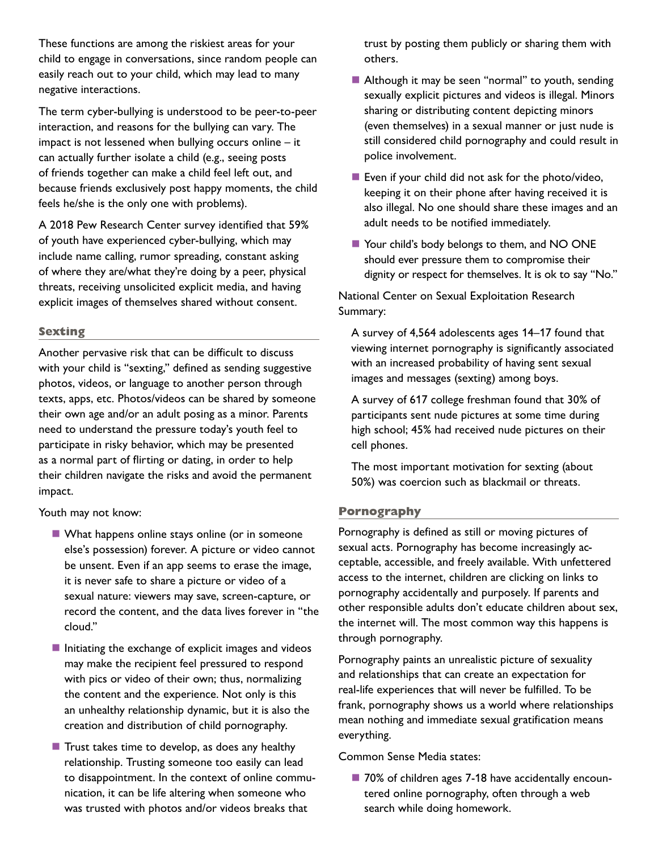These functions are among the riskiest areas for your child to engage in conversations, since random people can easily reach out to your child, which may lead to many negative interactions.

The term cyber-bullying is understood to be peer-to-peer interaction, and reasons for the bullying can vary. The impact is not lessened when bullying occurs online – it can actually further isolate a child (e.g., seeing posts of friends together can make a child feel left out, and because friends exclusively post happy moments, the child feels he/she is the only one with problems).

A 2018 Pew Research Center survey identified that 59% of youth have experienced cyber-bullying, which may include name calling, rumor spreading, constant asking of where they are/what they're doing by a peer, physical threats, receiving unsolicited explicit media, and having explicit images of themselves shared without consent.

#### **Sexting**

Another pervasive risk that can be difficult to discuss with your child is "sexting," defined as sending suggestive photos, videos, or language to another person through texts, apps, etc. Photos/videos can be shared by someone their own age and/or an adult posing as a minor. Parents need to understand the pressure today's youth feel to participate in risky behavior, which may be presented as a normal part of flirting or dating, in order to help their children navigate the risks and avoid the permanent impact.

Youth may not know:

- What happens online stays online (or in someone else's possession) forever. A picture or video cannot be unsent. Even if an app seems to erase the image, it is never safe to share a picture or video of a sexual nature: viewers may save, screen-capture, or record the content, and the data lives forever in "the cloud."
- $\blacksquare$  Initiating the exchange of explicit images and videos may make the recipient feel pressured to respond with pics or video of their own; thus, normalizing the content and the experience. Not only is this an unhealthy relationship dynamic, but it is also the creation and distribution of child pornography.
- $\blacksquare$  Trust takes time to develop, as does any healthy relationship. Trusting someone too easily can lead to disappointment. In the context of online communication, it can be life altering when someone who was trusted with photos and/or videos breaks that

trust by posting them publicly or sharing them with others.

- Although it may be seen "normal" to youth, sending sexually explicit pictures and videos is illegal. Minors sharing or distributing content depicting minors (even themselves) in a sexual manner or just nude is still considered child pornography and could result in police involvement.
- Even if your child did not ask for the photo/video, keeping it on their phone after having received it is also illegal. No one should share these images and an adult needs to be notified immediately.
- Your child's body belongs to them, and NO ONE should ever pressure them to compromise their dignity or respect for themselves. It is ok to say "No."

National Center on Sexual Exploitation Research Summary:

A survey of 4,564 adolescents ages 14–17 found that viewing internet pornography is significantly associated with an increased probability of having sent sexual images and messages (sexting) among boys.

A survey of 617 college freshman found that 30% of participants sent nude pictures at some time during high school; 45% had received nude pictures on their cell phones.

The most important motivation for sexting (about 50%) was coercion such as blackmail or threats.

### **Pornography**

Pornography is defined as still or moving pictures of sexual acts. Pornography has become increasingly acceptable, accessible, and freely available. With unfettered access to the internet, children are clicking on links to pornography accidentally and purposely. If parents and other responsible adults don't educate children about sex, the internet will. The most common way this happens is through pornography.

Pornography paints an unrealistic picture of sexuality and relationships that can create an expectation for real-life experiences that will never be fulfilled. To be frank, pornography shows us a world where relationships mean nothing and immediate sexual gratification means everything.

Common Sense Media states:

■ 70% of children ages 7-18 have accidentally encountered online pornography, often through a web search while doing homework.